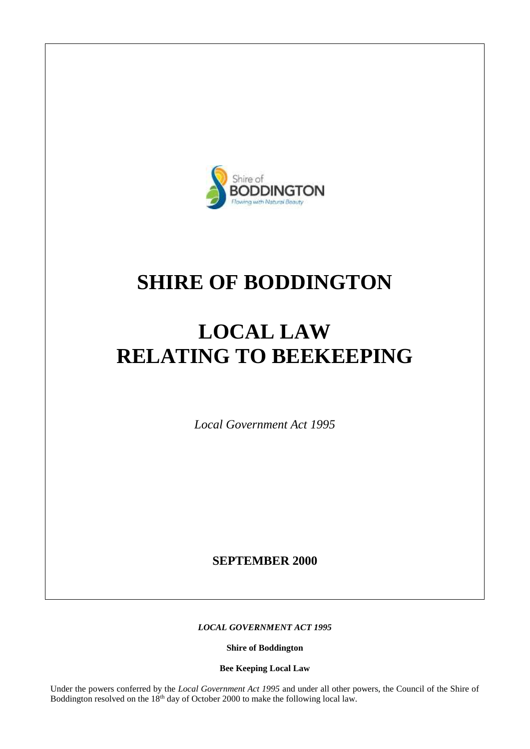

# **SHIRE OF BODDINGTON**

# **LOCAL LAW RELATING TO BEEKEEPING**

*Local Government Act 1995*

**SEPTEMBER 2000**

*LOCAL GOVERNMENT ACT 1995*

**Shire of Boddington**

**Bee Keeping Local Law**

Under the powers conferred by the *Local Government Act 1995* and under all other powers, the Council of the Shire of Boddington resolved on the 18<sup>th</sup> day of October 2000 to make the following local law.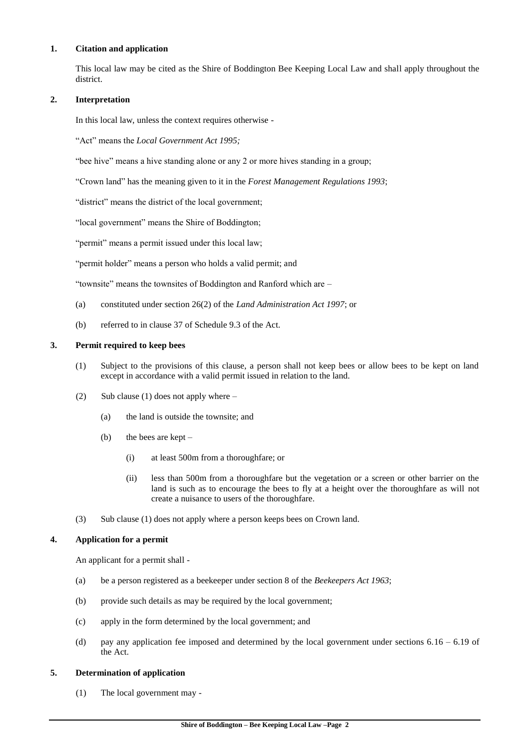#### **1. Citation and application**

This local law may be cited as the Shire of Boddington Bee Keeping Local Law and shall apply throughout the district.

# **2. Interpretation**

In this local law, unless the context requires otherwise -

"Act" means the *Local Government Act 1995;*

"bee hive" means a hive standing alone or any 2 or more hives standing in a group;

"Crown land" has the meaning given to it in the *Forest Management Regulations 1993*;

"district" means the district of the local government;

"local government" means the Shire of Boddington;

"permit" means a permit issued under this local law;

"permit holder" means a person who holds a valid permit; and

"townsite" means the townsites of Boddington and Ranford which are –

- (a) constituted under section 26(2) of the *Land Administration Act 1997*; or
- (b) referred to in clause 37 of Schedule 9.3 of the Act.

# **3. Permit required to keep bees**

- (1) Subject to the provisions of this clause, a person shall not keep bees or allow bees to be kept on land except in accordance with a valid permit issued in relation to the land.
- (2) Sub clause (1) does not apply where  $-$ 
	- (a) the land is outside the townsite; and
	- (b) the bees are kept
		- (i) at least 500m from a thoroughfare; or
		- (ii) less than 500m from a thoroughfare but the vegetation or a screen or other barrier on the land is such as to encourage the bees to fly at a height over the thoroughfare as will not create a nuisance to users of the thoroughfare.
- (3) Sub clause (1) does not apply where a person keeps bees on Crown land.

# **4. Application for a permit**

An applicant for a permit shall -

- (a) be a person registered as a beekeeper under section 8 of the *Beekeepers Act 1963*;
- (b) provide such details as may be required by the local government;
- (c) apply in the form determined by the local government; and
- (d) pay any application fee imposed and determined by the local government under sections  $6.16 6.19$  of the Act.

#### **5. Determination of application**

(1) The local government may -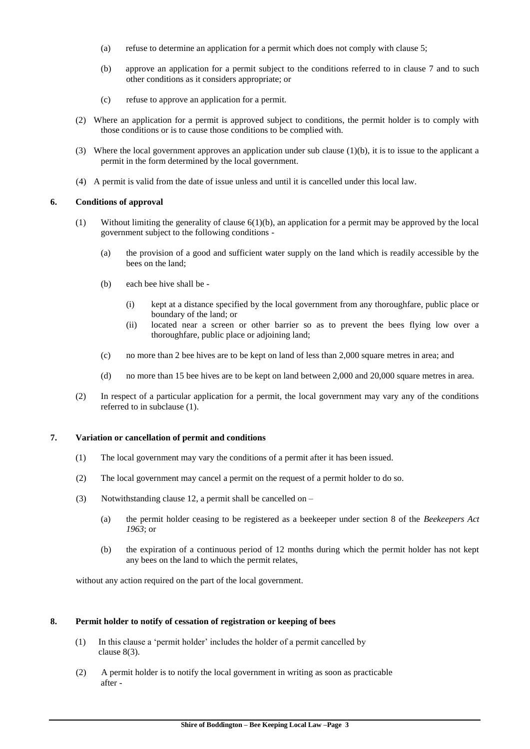- (a) refuse to determine an application for a permit which does not comply with clause 5;
- (b) approve an application for a permit subject to the conditions referred to in clause 7 and to such other conditions as it considers appropriate; or
- (c) refuse to approve an application for a permit.
- (2) Where an application for a permit is approved subject to conditions, the permit holder is to comply with those conditions or is to cause those conditions to be complied with.
- (3) Where the local government approves an application under sub clause (1)(b), it is to issue to the applicant a permit in the form determined by the local government.
- (4) A permit is valid from the date of issue unless and until it is cancelled under this local law.

# **6. Conditions of approval**

- (1) Without limiting the generality of clause 6(1)(b), an application for a permit may be approved by the local government subject to the following conditions -
	- (a) the provision of a good and sufficient water supply on the land which is readily accessible by the bees on the land;
	- (b) each bee hive shall be
		- (i) kept at a distance specified by the local government from any thoroughfare, public place or boundary of the land; or
		- (ii) located near a screen or other barrier so as to prevent the bees flying low over a thoroughfare, public place or adjoining land;
	- (c) no more than 2 bee hives are to be kept on land of less than 2,000 square metres in area; and
	- (d) no more than 15 bee hives are to be kept on land between 2,000 and 20,000 square metres in area.
- (2) In respect of a particular application for a permit, the local government may vary any of the conditions referred to in subclause (1).

#### **7. Variation or cancellation of permit and conditions**

- (1) The local government may vary the conditions of a permit after it has been issued.
- (2) The local government may cancel a permit on the request of a permit holder to do so.
- (3) Notwithstanding clause 12, a permit shall be cancelled on  $-$ 
	- (a) the permit holder ceasing to be registered as a beekeeper under section 8 of the *Beekeepers Act 1963*; or
	- (b) the expiration of a continuous period of 12 months during which the permit holder has not kept any bees on the land to which the permit relates,

without any action required on the part of the local government.

#### **8. Permit holder to notify of cessation of registration or keeping of bees**

- (1) In this clause a 'permit holder' includes the holder of a permit cancelled by clause 8(3).
- (2) A permit holder is to notify the local government in writing as soon as practicable after -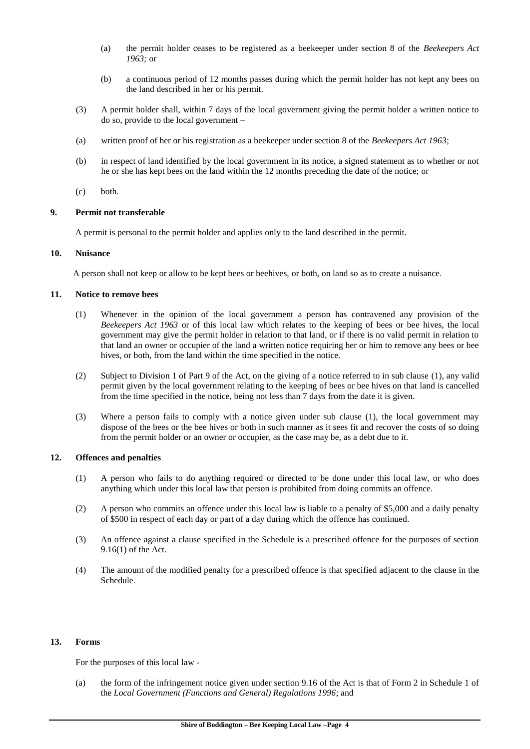- (a) the permit holder ceases to be registered as a beekeeper under section 8 of the *Beekeepers Act 1963;* or
- (b) a continuous period of 12 months passes during which the permit holder has not kept any bees on the land described in her or his permit.
- (3) A permit holder shall, within 7 days of the local government giving the permit holder a written notice to do so, provide to the local government –
- (a) written proof of her or his registration as a beekeeper under section 8 of the *Beekeepers Act 1963*;
- (b) in respect of land identified by the local government in its notice, a signed statement as to whether or not he or she has kept bees on the land within the 12 months preceding the date of the notice; or
- (c) both.

#### **9. Permit not transferable**

A permit is personal to the permit holder and applies only to the land described in the permit.

# **10. Nuisance**

A person shall not keep or allow to be kept bees or beehives, or both, on land so as to create a nuisance.

#### **11. Notice to remove bees**

- (1) Whenever in the opinion of the local government a person has contravened any provision of the *Beekeepers Act 1963* or of this local law which relates to the keeping of bees or bee hives, the local government may give the permit holder in relation to that land, or if there is no valid permit in relation to that land an owner or occupier of the land a written notice requiring her or him to remove any bees or bee hives, or both, from the land within the time specified in the notice.
- (2) Subject to Division 1 of Part 9 of the Act, on the giving of a notice referred to in sub clause (1), any valid permit given by the local government relating to the keeping of bees or bee hives on that land is cancelled from the time specified in the notice, being not less than 7 days from the date it is given.
- (3) Where a person fails to comply with a notice given under sub clause (1), the local government may dispose of the bees or the bee hives or both in such manner as it sees fit and recover the costs of so doing from the permit holder or an owner or occupier, as the case may be, as a debt due to it.

# **12. Offences and penalties**

- (1) A person who fails to do anything required or directed to be done under this local law, or who does anything which under this local law that person is prohibited from doing commits an offence.
- (2) A person who commits an offence under this local law is liable to a penalty of \$5,000 and a daily penalty of \$500 in respect of each day or part of a day during which the offence has continued.
- (3) An offence against a clause specified in the Schedule is a prescribed offence for the purposes of section 9.16(1) of the Act.
- (4) The amount of the modified penalty for a prescribed offence is that specified adjacent to the clause in the Schedule.

#### **13. Forms**

For the purposes of this local law -

(a) the form of the infringement notice given under section 9.16 of the Act is that of Form 2 in Schedule 1 of the *Local Government (Functions and General) Regulations 1996*; and